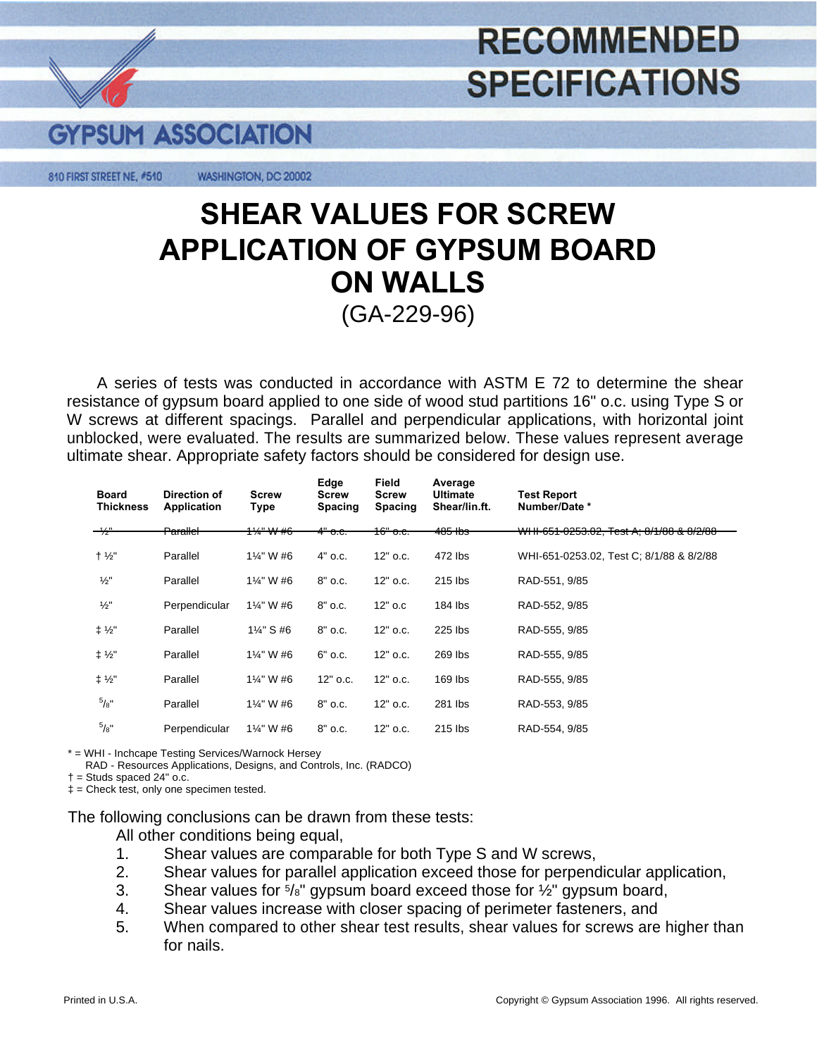## **RECOMMENDED SPECIFICATIONS**



810 FIRST STREET NE, #510 WASHINGTON, DC 20002

## **SHEAR VALUES FOR SCREW APPLICATION OF GYPSUM BOARD**  (GA-229-96) **ON WALLS**

A series of tests was conducted in accordance with ASTM E 72 to determine the shear resistance of gypsum board applied to one side of wood stud partitions 16" o.c. using Type S or W screws at different spacings. Parallel and perpendicular applications, with horizontal joint unblocked, were evaluated. The results are summarized below. These values represent average ultimate shear. Appropriate safety factors should be considered for design use.

| <b>Board</b><br><b>Thickness</b> | Direction of<br><b>Application</b> | <b>Screw</b><br>Type  | Edge<br><b>Screw</b><br><b>Spacing</b> | Field<br><b>Screw</b><br>Spacing | Average<br><b>Ultimate</b><br>Shear/lin.ft. | Test Report<br>Number/Date *                                                                                            |
|----------------------------------|------------------------------------|-----------------------|----------------------------------------|----------------------------------|---------------------------------------------|-------------------------------------------------------------------------------------------------------------------------|
| $\rightarrow$                    | <del>Parallel</del>                | <del>1¼" W #6</del>   | <del>4" о.с.</del>                     | <del>16" о.с.</del>              | <del>485 lbs</del>                          | $MLH$ $CFA$ $QQFQ$ $QQ$ $T_{ext}$ $A$ , $Q/d$ $QQ$ $Q$ $Q/d$<br><del>WHI-651-0253.02, Test A; 8/1/88 &amp; 8/2/88</del> |
| $+ 1/2$ "                        | Parallel                           | 1%" W #6              | $4"$ o.c.                              | $12"$ o.c.                       | 472 lbs                                     | WHI-651-0253.02, Test C; 8/1/88 & 8/2/88                                                                                |
| $\frac{1}{2}$ "                  | Parallel                           | 1%" W #6              | $8"$ o.c.                              | $12"$ o.c.                       | 215 lbs                                     | RAD-551, 9/85                                                                                                           |
| $\frac{1}{2}$                    | Perpendicular                      | 1%" W #6              | 8" o.c.                                | $12"$ o.c                        | 184 lbs                                     | RAD-552, 9/85                                                                                                           |
| ± 1/2"                           | Parallel                           | $1\frac{1}{4}$ " S #6 | 8" o.c.                                | 12" o.c.                         | 225 lbs                                     | RAD-555, 9/85                                                                                                           |
| $1\frac{1}{2}$                   | Parallel                           | 1%" W #6              | $6"$ o.c.                              | $12"$ o.c.                       | 269 lbs                                     | RAD-555, 9/85                                                                                                           |
| $\ddagger$ 1/ <sub>2</sub> "     | Parallel                           | 1%" W #6              | 12" o.c.                               | $12"$ o.c.                       | $169$ lbs                                   | RAD-555, 9/85                                                                                                           |
| $^{5}/\!$ "                      | Parallel                           | 1%" W #6              | 8" o.c.                                | $12"$ o.c.                       | 281 lbs                                     | RAD-553, 9/85                                                                                                           |
| $^{5}/\mathrm{8}$ "              | Perpendicular                      | 1%" W #6              | $8"$ o.c.                              | $12"$ o.c.                       | 215 lbs                                     | RAD-554, 9/85                                                                                                           |

\* = WHI - Inchcape Testing Services/Warnock Hersey

RAD - Resources Applications, Designs, and Controls, Inc. (RADCO)

 $\dagger$  = Studs spaced 24" o.c.

‡ = Check test, only one specimen tested.

The following conclusions can be drawn from these tests:

All other conditions being equal,

- 1. Shear values are comparable for both Type S and W screws,
- 2. Shear values for parallel application exceed those for perpendicular application,
- 3. Shear values for  $\frac{5}{8}$ " gypsum board exceed those for  $\frac{1}{2}$ " gypsum board,
- 4. Shear values increase with closer spacing of perimeter fasteners, and
- 5. When compared to other shear test results, shear values for screws are higher than for nails.